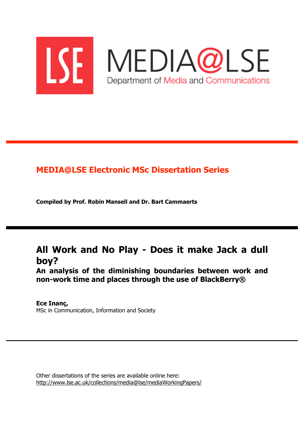

## **MEDIA@LSE Electronic MSc Dissertation Series**

**Compiled by Prof. Robin Mansell and Dr. Bart Cammaerts** 

# **All Work and No Play - Does it make Jack a dull boy?**

**An analysis of the diminishing boundaries between work and non-work time and places through the use of BlackBerry®** 

**Ece Inanç,**  MSc in Communication, Information and Society

Other dissertations of the series are available online here: http://www.lse.ac.uk/collections/media@lse/mediaWorkingPapers/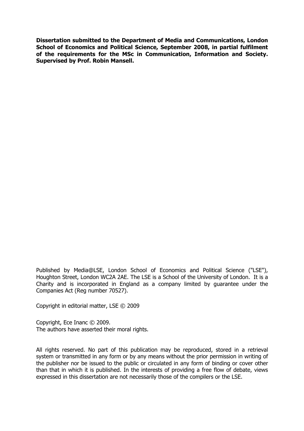**Dissertation submitted to the Department of Media and Communications, London School of Economics and Political Science, September 2008, in partial fulfilment of the requirements for the MSc in Communication, Information and Society. Supervised by Prof. Robin Mansell.**

Published by Media@LSE, London School of Economics and Political Science ("LSE"), Houghton Street, London WC2A 2AE. The LSE is a School of the University of London. It is a Charity and is incorporated in England as a company limited by guarantee under the Companies Act (Reg number 70527).

Copyright in editorial matter, LSE © 2009

Copyright, Ece Inanc © 2009. The authors have asserted their moral rights.

All rights reserved. No part of this publication may be reproduced, stored in a retrieval system or transmitted in any form or by any means without the prior permission in writing of the publisher nor be issued to the public or circulated in any form of binding or cover other than that in which it is published. In the interests of providing a free flow of debate, views expressed in this dissertation are not necessarily those of the compilers or the LSE.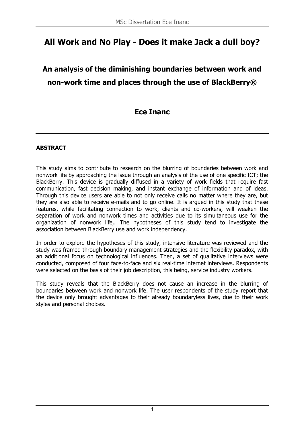# **All Work and No Play - Does it make Jack a dull boy?**

# **An analysis of the diminishing boundaries between work and non-work time and places through the use of BlackBerry®**

## **Ece Inanc**

### **ABSTRACT**

This study aims to contribute to research on the blurring of boundaries between work and nonwork life by approaching the issue through an analysis of the use of one specific ICT; the BlackBerry. This device is gradually diffused in a variety of work fields that require fast communication, fast decision making, and instant exchange of information and of ideas. Through this device users are able to not only receive calls no matter where they are, but they are also able to receive e-mails and to go online. It is argued in this study that these features, while facilitating connection to work, clients and co-workers, will weaken the separation of work and nonwork times and activities due to its simultaneous use for the organization of nonwork life,. The hypotheses of this study tend to investigate the association between BlackBerry use and work independency.

In order to explore the hypotheses of this study, intensive literature was reviewed and the study was framed through boundary management strategies and the flexibility paradox, with an additional focus on technological influences. Then, a set of qualitative interviews were conducted, composed of four face-to-face and six real-time internet interviews. Respondents were selected on the basis of their job description, this being, service industry workers.

This study reveals that the BlackBerry does not cause an increase in the blurring of boundaries between work and nonwork life. The user respondents of the study report that the device only brought advantages to their already boundaryless lives, due to their work styles and personal choices.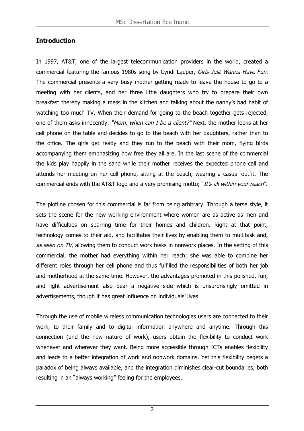## **Introduction**

In 1997, AT&T, one of the largest telecommunication providers in the world, created a commercial featuring the famous 1980s song by Cyndi Lauper, Girls Just Wanna Have Fun. The commercial presents a very busy mother getting ready to leave the house to go to a meeting with her clients, and her three little daughters who try to prepare their own breakfast thereby making a mess in the kitchen and talking about the nanny's bad habit of watching too much TV. When their demand for going to the beach together gets rejected, one of them asks innocently: "Mom, when can I be a client?" Next, the mother looks at her cell phone on the table and decides to go to the beach with her daughters, rather than to the office. The girls get ready and they run to the beach with their mom, flying birds accompanying them emphasizing how free they all are. In the last scene of the commercial the kids play happily in the sand while their mother receives the expected phone call and attends her meeting on her cell phone, sitting at the beach, wearing a casual outfit. The commercial ends with the AT&T logo and a very promising motto; "It's all within your reach".

The plotline chosen for this commercial is far from being arbitrary. Through a terse style, it sets the scene for the new working environment where women are as active as men and have difficulties on sparring time for their homes and children. Right at that point, technology comes to their aid, and facilitates their lives by enabling them to multitask and, as seen on TV, allowing them to conduct work tasks in nonwork places. In the setting of this commercial, the mother had everything within her reach; she was able to combine her different roles through her cell phone and thus fulfilled the responsibilities of both her job and motherhood at the same time. However, the advantages promoted in this polished, fun, and light advertisement also bear a negative side which is unsurprisingly omitted in advertisements, though it has great influence on individuals' lives.

Through the use of mobile wireless communication technologies users are connected to their work, to their family and to digital information anywhere and anytime. Through this connection (and the new nature of work), users obtain the flexibility to conduct work whenever and wherever they want. Being more accessible through ICTs enables flexibility and leads to a better integration of work and nonwork domains. Yet this flexibility begets a paradox of being always available, and the integration diminishes clear-cut boundaries, both resulting in an "always working" feeling for the employees.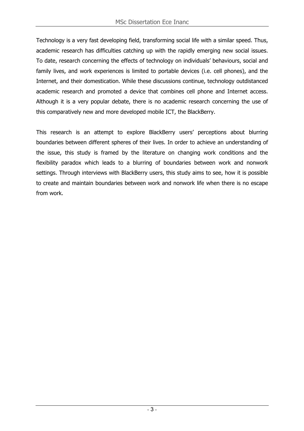Technology is a very fast developing field, transforming social life with a similar speed. Thus, academic research has difficulties catching up with the rapidly emerging new social issues. To date, research concerning the effects of technology on individuals' behaviours, social and family lives, and work experiences is limited to portable devices (i.e. cell phones), and the Internet, and their domestication. While these discussions continue, technology outdistanced academic research and promoted a device that combines cell phone and Internet access. Although it is a very popular debate, there is no academic research concerning the use of this comparatively new and more developed mobile ICT, the BlackBerry.

This research is an attempt to explore BlackBerry users' perceptions about blurring boundaries between different spheres of their lives. In order to achieve an understanding of the issue, this study is framed by the literature on changing work conditions and the flexibility paradox which leads to a blurring of boundaries between work and nonwork settings. Through interviews with BlackBerry users, this study aims to see, how it is possible to create and maintain boundaries between work and nonwork life when there is no escape from work.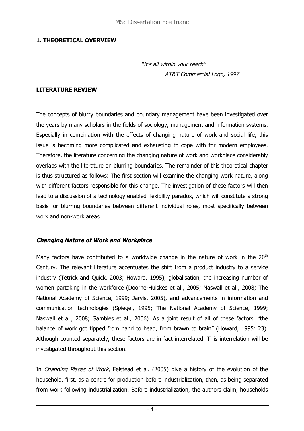### **1. THEORETICAL OVERVIEW**

"It's all within your reach" AT&T Commercial Logo, 1997

#### **LITERATURE REVIEW**

The concepts of blurry boundaries and boundary management have been investigated over the years by many scholars in the fields of sociology, management and information systems. Especially in combination with the effects of changing nature of work and social life, this issue is becoming more complicated and exhausting to cope with for modern employees. Therefore, the literature concerning the changing nature of work and workplace considerably overlaps with the literature on blurring boundaries. The remainder of this theoretical chapter is thus structured as follows: The first section will examine the changing work nature, along with different factors responsible for this change. The investigation of these factors will then lead to a discussion of a technology enabled flexibility paradox, which will constitute a strong basis for blurring boundaries between different individual roles, most specifically between work and non-work areas.

#### **Changing Nature of Work and Workplace**

Many factors have contributed to a worldwide change in the nature of work in the  $20<sup>th</sup>$ Century. The relevant literature accentuates the shift from a product industry to a service industry (Tetrick and Quick, 2003; Howard, 1995), globalisation, the increasing number of women partaking in the workforce (Doorne-Huiskes et al., 2005; Naswall et al., 2008; The National Academy of Science, 1999; Jarvis, 2005), and advancements in information and communication technologies (Spiegel, 1995; The National Academy of Science, 1999; Naswall et al., 2008; Gambles et al., 2006). As a joint result of all of these factors, "the balance of work got tipped from hand to head, from brawn to brain" (Howard, 1995: 23). Although counted separately, these factors are in fact interrelated. This interrelation will be investigated throughout this section.

In Changing Places of Work, Felstead et al. (2005) give a history of the evolution of the household, first, as a centre for production before industrialization, then, as being separated from work following industrialization. Before industrialization, the authors claim, households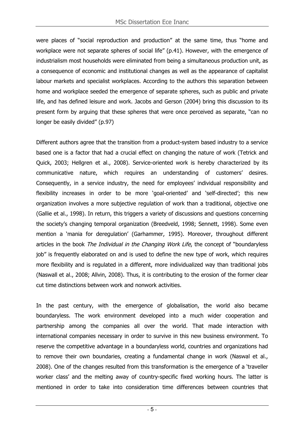were places of "social reproduction and production" at the same time, thus "home and workplace were not separate spheres of social life" (p.41). However, with the emergence of industrialism most households were eliminated from being a simultaneous production unit, as a consequence of economic and institutional changes as well as the appearance of capitalist labour markets and specialist workplaces. According to the authors this separation between home and workplace seeded the emergence of separate spheres, such as public and private life, and has defined leisure and work. Jacobs and Gerson (2004) bring this discussion to its present form by arguing that these spheres that were once perceived as separate, "can no longer be easily divided" (p.97)

Different authors agree that the transition from a product-system based industry to a service based one is a factor that had a crucial effect on changing the nature of work (Tetrick and Quick, 2003; Hellgren et al., 2008). Service-oriented work is hereby characterized by its communicative nature, which requires an understanding of customers' desires. Consequently, in a service industry, the need for employees' individual responsibility and flexibility increases in order to be more 'goal-oriented' and 'self-directed'; this new organization involves a more subjective regulation of work than a traditional, objective one (Gallie et al., 1998). In return, this triggers a variety of discussions and questions concerning the society's changing temporal organization (Breedveld, 1998; Sennett, 1998). Some even mention a 'mania for deregulation' (Garhammer, 1995). Moreover, throughout different articles in the book The Individual in the Changing Work Life, the concept of "boundaryless job" is frequently elaborated on and is used to define the new type of work, which requires more flexibility and is regulated in a different, more individualized way than traditional jobs (Naswall et al., 2008; Allvin, 2008). Thus, it is contributing to the erosion of the former clear cut time distinctions between work and nonwork activities.

In the past century, with the emergence of globalisation, the world also became boundaryless. The work environment developed into a much wider cooperation and partnership among the companies all over the world. That made interaction with international companies necessary in order to survive in this new business environment. To reserve the competitive advantage in a boundaryless world, countries and organizations had to remove their own boundaries, creating a fundamental change in work (Naswal et al., 2008). One of the changes resulted from this transformation is the emergence of a 'traveller worker class' and the melting away of country-specific fixed working hours. The latter is mentioned in order to take into consideration time differences between countries that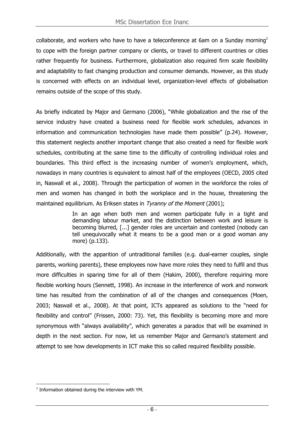collaborate, and workers who have to have a teleconference at 6am on a Sunday morning<sup>1</sup> to cope with the foreign partner company or clients, or travel to different countries or cities rather frequently for business. Furthermore, globalization also required firm scale flexibility and adaptability to fast changing production and consumer demands. However, as this study is concerned with effects on an individual level, organization-level effects of globalisation remains outside of the scope of this study.

As briefly indicated by Major and Germano (2006), "While globalization and the rise of the service industry have created a business need for flexible work schedules, advances in information and communication technologies have made them possible" (p.24). However, this statement neglects another important change that also created a need for flexible work schedules, contributing at the same time to the difficulty of controlling individual roles and boundaries. This third effect is the increasing number of women's employment, which, nowadays in many countries is equivalent to almost half of the employees (OECD, 2005 cited in, Naswall et al., 2008). Through the participation of women in the workforce the roles of men and women has changed in both the workplace and in the house, threatening the maintained equilibrium. As Eriksen states in Tyranny of the Moment (2001);

> In an age when both men and women participate fully in a tight and demanding labour market, and the distinction between work and leisure is becoming blurred, [...] gender roles are uncertain and contested (nobody can tell unequivocally what it means to be a good man or a good woman any more) (p.133).

Additionally, with the apparition of untraditional families (e.g. dual-earner couples, single parents, working parents), these employees now have more roles they need to fulfil and thus more difficulties in sparing time for all of them (Hakim, 2000), therefore requiring more flexible working hours (Sennett, 1998). An increase in the interference of work and nonwork time has resulted from the combination of all of the changes and consequences (Moen, 2003; Naswall et al., 2008). At that point, ICTs appeared as solutions to the "need for flexibility and control" (Frissen, 2000: 73). Yet, this flexibility is becoming more and more synonymous with "always availability", which generates a paradox that will be examined in depth in the next section. For now, let us remember Major and Germano's statement and attempt to see how developments in ICT make this so called required flexibility possible.

 $\overline{a}$  $1$  Information obtained during the interview with YM.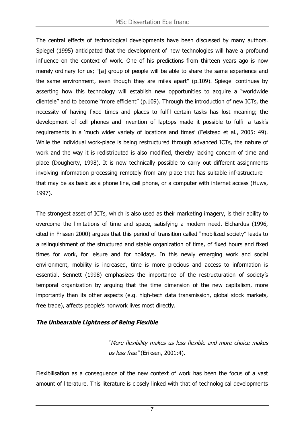The central effects of technological developments have been discussed by many authors. Spiegel (1995) anticipated that the development of new technologies will have a profound influence on the context of work. One of his predictions from thirteen years ago is now merely ordinary for us; "[a] group of people will be able to share the same experience and the same environment, even though they are miles apart" (p.109). Spiegel continues by asserting how this technology will establish new opportunities to acquire a "worldwide clientele" and to become "more efficient" (p.109). Through the introduction of new ICTs, the necessity of having fixed times and places to fulfil certain tasks has lost meaning; the development of cell phones and invention of laptops made it possible to fulfil a task's requirements in a 'much wider variety of locations and times' (Felstead et al., 2005: 49). While the individual work-place is being restructured through advanced ICTs, the nature of work and the way it is redistributed is also modified, thereby lacking concern of time and place (Dougherty, 1998). It is now technically possible to carry out different assignments involving information processing remotely from any place that has suitable infrastructure – that may be as basic as a phone line, cell phone, or a computer with internet access (Huws, 1997).

The strongest asset of ICTs, which is also used as their marketing imagery, is their ability to overcome the limitations of time and space, satisfying a modern need. Elchardus (1996, cited in Frissen 2000) argues that this period of transition called "mobilized society" leads to a relinquishment of the structured and stable organization of time, of fixed hours and fixed times for work, for leisure and for holidays. In this newly emerging work and social environment, mobility is increased, time is more precious and access to information is essential. Sennett (1998) emphasizes the importance of the restructuration of society's temporal organization by arguing that the time dimension of the new capitalism, more importantly than its other aspects (e.g. high-tech data transmission, global stock markets, free trade), affects people's nonwork lives most directly.

## **The Unbearable Lightness of Being Flexible**

"More flexibility makes us less flexible and more choice makes us less free" (Eriksen, 2001:4).

Flexibilisation as a consequence of the new context of work has been the focus of a vast amount of literature. This literature is closely linked with that of technological developments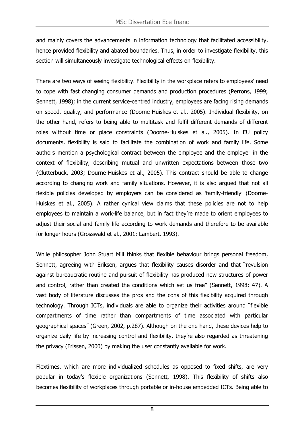and mainly covers the advancements in information technology that facilitated accessibility, hence provided flexibility and abated boundaries. Thus, in order to investigate flexibility, this section will simultaneously investigate technological effects on flexibility.

There are two ways of seeing flexibility. Flexibility in the workplace refers to employees' need to cope with fast changing consumer demands and production procedures (Perrons, 1999; Sennett, 1998); in the current service-centred industry, employees are facing rising demands on speed, quality, and performance (Doorne-Huiskes et al., 2005). Individual flexibility, on the other hand, refers to being able to multitask and fulfil different demands of different roles without time or place constraints (Doorne-Huiskes et al., 2005). In EU policy documents, flexibility is said to facilitate the combination of work and family life. Some authors mention a psychological contract between the employee and the employer in the context of flexibility, describing mutual and unwritten expectations between those two (Clutterbuck, 2003; Dourne-Huiskes et al., 2005). This contract should be able to change according to changing work and family situations. However, it is also argued that not all flexible policies developed by employers can be considered as 'family-friendly' (Doorne-Huiskes et al., 2005). A rather cynical view claims that these policies are not to help employees to maintain a work-life balance, but in fact they're made to orient employees to adjust their social and family life according to work demands and therefore to be available for longer hours (Grosswald et al., 2001; Lambert, 1993).

While philosopher John Stuart Mill thinks that flexible behaviour brings personal freedom, Sennett, agreeing with Eriksen, argues that flexibility causes disorder and that "revulsion against bureaucratic routine and pursuit of flexibility has produced new structures of power and control, rather than created the conditions which set us free" (Sennett, 1998: 47). A vast body of literature discusses the pros and the cons of this flexibility acquired through technology. Through ICTs, individuals are able to organize their activities around "flexible compartments of time rather than compartments of time associated with particular geographical spaces" (Green, 2002, p.287). Although on the one hand, these devices help to organize daily life by increasing control and flexibility, they're also regarded as threatening the privacy (Frissen, 2000) by making the user constantly available for work.

Flextimes, which are more individualized schedules as opposed to fixed shifts, are very popular in today's flexible organizations (Sennett, 1998). This flexibility of shifts also becomes flexibility of workplaces through portable or in-house embedded ICTs. Being able to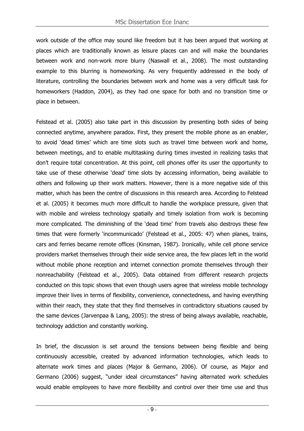work outside of the office may sound like freedom but it has been argued that working at places which are traditionally known as leisure places can and will make the boundaries between work and non-work more blurry (Naswall et al., 2008). The most outstanding example to this blurring is homeworking. As very frequently addressed in the body of literature, controlling the boundaries between work and home was a very difficult task for homeworkers (Haddon, 2004), as they had one space for both and no transition time or place in between.

Felstead et al. (2005) also take part in this discussion by presenting both sides of being connected anytime, anywhere paradox. First, they present the mobile phone as an enabler, to avoid 'dead times' which are time slots such as travel time between work and home, between meetings, and to enable multitasking during times invested in realizing tasks that don't require total concentration. At this point, cell phones offer its user the opportunity to take use of these otherwise 'dead' time slots by accessing information, being available to others and following up their work matters. However, there is a more negative side of this matter, which has been the centre of discussions in this research area. According to Felstead et al. (2005) it becomes much more difficult to handle the workplace pressure, given that with mobile and wireless technology spatially and timely isolation from work is becoming more complicated. The diminishing of the 'dead time' from travels also destroys these few times that were formerly 'incommunicado' (Felstead et al., 2005: 47) when planes, trains, cars and ferries became remote offices (Kinsman, 1987). Ironically, while cell phone service providers market themselves through their wide service area, the few places left in the world without mobile phone reception and internet connection promote themselves through their nonreachability (Felstead et al., 2005). Data obtained from different research projects conducted on this topic shows that even though users agree that wireless mobile technology improve their lives in terms of flexibility, convenience, connectedness, and having everything within their reach, they state that they find themselves in contradictory situations caused by the same devices (Jarvenpaa & Lang, 2005): the stress of being always available, reachable, technology addiction and constantly working.

In brief, the discussion is set around the tensions between being flexible and being continuously accessible, created by advanced information technologies, which leads to alternate work times and places (Major & Germano, 2006). Of course, as Major and Germano (2006) suggest, "under ideal circumstances" having alternated work schedules would enable employees to have more flexibility and control over their time use and thus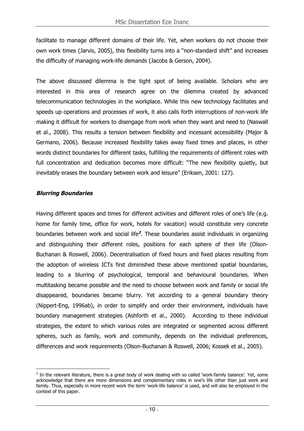facilitate to manage different domains of their life. Yet, when workers do not choose their own work times (Jarvis, 2005), this flexibility turns into a "non-standard shift" and increases the difficulty of managing work-life demands (Jacobs & Gerson, 2004).

The above discussed dilemma is the tight spot of being available. Scholars who are interested in this area of research agree on the dilemma created by advanced telecommunication technologies in the workplace. While this new technology facilitates and speeds up operations and processes of work, it also calls forth interruptions of non-work life making it difficult for workers to disengage from work when they want and need to (Naswall et al., 2008). This results a tension between flexibility and incessant accessibility (Major & Germano, 2006). Because increased flexibility takes away fixed times and places, in other words distinct boundaries for different tasks, fulfilling the requirements of different roles with full concentration and dedication becomes more difficult: "The new flexibility quietly, but inevitably erases the boundary between work and leisure" (Eriksen, 2001: 127).

#### **Blurring Boundaries**

 $\overline{a}$ 

Having different spaces and times for different activities and different roles of one's life (e.g. home for family time, office for work, hotels for vacation) would constitute very concrete boundaries between work and social life**<sup>2</sup>** . These boundaries assist individuals in organizing and distinguishing their different roles, positions for each sphere of their life (Olson-Buchanan & Roswell, 2006). Decentralisation of fixed hours and fixed places resulting from the adoption of wireless ICTs first diminished these above mentioned spatial boundaries, leading to a blurring of psychological, temporal and behavioural boundaries. When multitasking became possible and the need to choose between work and family or social life disappeared, boundaries became blurry. Yet according to a general boundary theory (Nippert-Eng, 1996ab), in order to simplify and order their environment, individuals have boundary management strategies (Ashforth et al., 2000). According to these individual strategies, the extent to which various roles are integrated or segmented across different spheres, such as family, work and community, depends on the individual preferences, differences and work requirements (Olson-Buchanan & Roswell, 2006; Kossek et al., 2005).

 $<sup>2</sup>$  In the relevant literature, there is a great body of work dealing with so called 'work-family balance'. Yet, some</sup> acknowledge that there are more dimensions and complementary roles in one's life other than just work and family. Thus, especially in more recent work the term 'work-life balance' is used, and will also be employed in the context of this paper.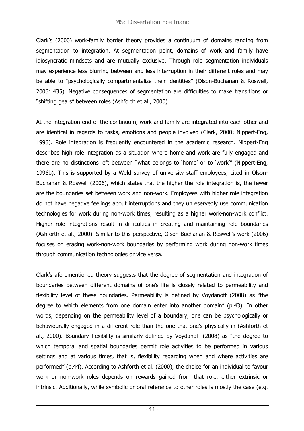Clark's (2000) work-family border theory provides a continuum of domains ranging from segmentation to integration. At segmentation point, domains of work and family have idiosyncratic mindsets and are mutually exclusive. Through role segmentation individuals may experience less blurring between and less interruption in their different roles and may be able to "psychologically compartmentalize their identities" (Olson-Buchanan & Roswell, 2006: 435). Negative consequences of segmentation are difficulties to make transitions or "shifting gears" between roles (Ashforth et al., 2000).

At the integration end of the continuum, work and family are integrated into each other and are identical in regards to tasks, emotions and people involved (Clark, 2000; Nippert-Eng, 1996). Role integration is frequently encountered in the academic research. Nippert-Eng describes high role integration as a situation where home and work are fully engaged and there are no distinctions left between "what belongs to 'home' or to 'work'" (Nippert-Eng, 1996b). This is supported by a Weld survey of university staff employees, cited in Olson-Buchanan & Roswell (2006), which states that the higher the role integration is, the fewer are the boundaries set between work and non-work. Employees with higher role integration do not have negative feelings about interruptions and they unreservedly use communication technologies for work during non-work times, resulting as a higher work-non-work conflict. Higher role integrations result in difficulties in creating and maintaining role boundaries (Ashforth et al., 2000). Similar to this perspective, Olson-Buchanan & Roswell's work (2006) focuses on erasing work-non-work boundaries by performing work during non-work times through communication technologies or vice versa.

Clark's aforementioned theory suggests that the degree of segmentation and integration of boundaries between different domains of one's life is closely related to permeability and flexibility level of these boundaries. Permeability is defined by Voydanoff (2008) as "the degree to which elements from one domain enter into another domain" (p.43). In other words, depending on the permeability level of a boundary, one can be psychologically or behaviourally engaged in a different role than the one that one's physically in (Ashforth et al., 2000). Boundary flexibility is similarly defined by Voydanoff (2008) as "the degree to which temporal and spatial boundaries permit role activities to be performed in various settings and at various times, that is, flexibility regarding when and where activities are performed" (p.44). According to Ashforth et al. (2000), the choice for an individual to favour work or non-work roles depends on rewards gained from that role, either extrinsic or intrinsic. Additionally, while symbolic or oral reference to other roles is mostly the case (e.g.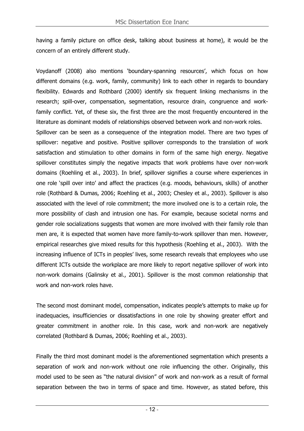having a family picture on office desk, talking about business at home), it would be the concern of an entirely different study.

Voydanoff (2008) also mentions 'boundary-spanning resources', which focus on how different domains (e.g. work, family, community) link to each other in regards to boundary flexibility. Edwards and Rothbard (2000) identify six frequent linking mechanisms in the research; spill-over, compensation, segmentation, resource drain, congruence and workfamily conflict. Yet, of these six, the first three are the most frequently encountered in the literature as dominant models of relationships observed between work and non-work roles.

Spillover can be seen as a consequence of the integration model. There are two types of spillover: negative and positive. Positive spillover corresponds to the translation of work satisfaction and stimulation to other domains in form of the same high energy. Negative spillover constitutes simply the negative impacts that work problems have over non-work domains (Roehling et al., 2003). In brief, spillover signifies a course where experiences in one role 'spill over into' and affect the practices (e.g. moods, behaviours, skills) of another role (Rothbard & Dumas, 2006; Roehling et al., 2003; Chesley et al., 2003). Spillover is also associated with the level of role commitment; the more involved one is to a certain role, the more possibility of clash and intrusion one has. For example, because societal norms and gender role socializations suggests that women are more involved with their family role than men are, it is expected that women have more family-to-work spillover than men. However, empirical researches give mixed results for this hypothesis (Roehling et al., 2003). With the increasing influence of ICTs in peoples' lives, some research reveals that employees who use different ICTs outside the workplace are more likely to report negative spillover of work into non-work domains (Galinsky et al., 2001). Spillover is the most common relationship that work and non-work roles have.

The second most dominant model, compensation, indicates people's attempts to make up for inadequacies, insufficiencies or dissatisfactions in one role by showing greater effort and greater commitment in another role. In this case, work and non-work are negatively correlated (Rothbard & Dumas, 2006; Roehling et al., 2003).

Finally the third most dominant model is the aforementioned segmentation which presents a separation of work and non-work without one role influencing the other. Originally, this model used to be seen as "the natural division" of work and non-work as a result of formal separation between the two in terms of space and time. However, as stated before, this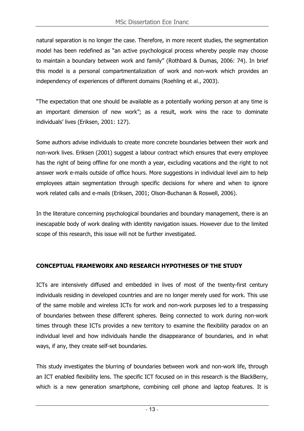natural separation is no longer the case. Therefore, in more recent studies, the segmentation model has been redefined as "an active psychological process whereby people may choose to maintain a boundary between work and family" (Rothbard & Dumas, 2006: 74). In brief this model is a personal compartmentalization of work and non-work which provides an independency of experiences of different domains (Roehling et al., 2003).

"The expectation that one should be available as a potentially working person at any time is an important dimension of new work"; as a result, work wins the race to dominate individuals' lives (Eriksen, 2001: 127).

Some authors advise individuals to create more concrete boundaries between their work and non-work lives. Eriksen (2001) suggest a labour contract which ensures that every employee has the right of being offline for one month a year, excluding vacations and the right to not answer work e-mails outside of office hours. More suggestions in individual level aim to help employees attain segmentation through specific decisions for where and when to ignore work related calls and e-mails (Eriksen, 2001; Olson-Buchanan & Roswell, 2006).

In the literature concerning psychological boundaries and boundary management, there is an inescapable body of work dealing with identity navigation issues. However due to the limited scope of this research, this issue will not be further investigated.

## **CONCEPTUAL FRAMEWORK AND RESEARCH HYPOTHESES OF THE STUDY**

ICTs are intensively diffused and embedded in lives of most of the twenty-first century individuals residing in developed countries and are no longer merely used for work. This use of the same mobile and wireless ICTs for work and non-work purposes led to a trespassing of boundaries between these different spheres. Being connected to work during non-work times through these ICTs provides a new territory to examine the flexibility paradox on an individual level and how individuals handle the disappearance of boundaries, and in what ways, if any, they create self-set boundaries.

This study investigates the blurring of boundaries between work and non-work life, through an ICT enabled flexibility lens. The specific ICT focused on in this research is the BlackBerry, which is a new generation smartphone, combining cell phone and laptop features. It is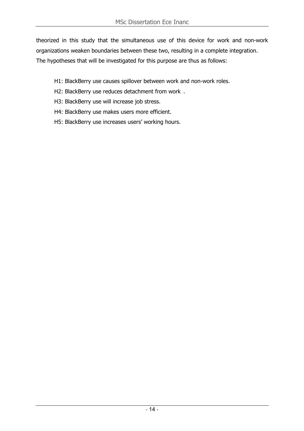theorized in this study that the simultaneous use of this device for work and non-work organizations weaken boundaries between these two, resulting in a complete integration. The hypotheses that will be investigated for this purpose are thus as follows:

- H1: BlackBerry use causes spillover between work and non-work roles.
- H2: BlackBerry use reduces detachment from work .
- H3: BlackBerry use will increase job stress.
- H4: BlackBerry use makes users more efficient.
- H5: BlackBerry use increases users' working hours.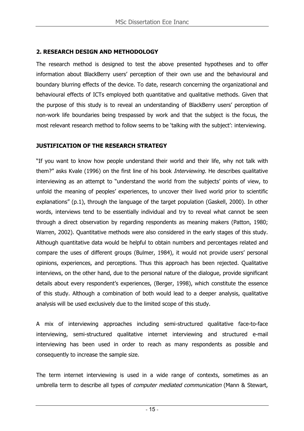### **2. RESEARCH DESIGN AND METHODOLOGY**

The research method is designed to test the above presented hypotheses and to offer information about BlackBerry users' perception of their own use and the behavioural and boundary blurring effects of the device. To date, research concerning the organizational and behavioural effects of ICTs employed both quantitative and qualitative methods. Given that the purpose of this study is to reveal an understanding of BlackBerry users' perception of non-work life boundaries being trespassed by work and that the subject is the focus, the most relevant research method to follow seems to be 'talking with the subject': interviewing.

#### **JUSTIFICATION OF THE RESEARCH STRATEGY**

"If you want to know how people understand their world and their life, why not talk with them?" asks Kvale (1996) on the first line of his book *Interviewing*. He describes qualitative interviewing as an attempt to "understand the world from the subjects' points of view, to unfold the meaning of peoples' experiences, to uncover their lived world prior to scientific explanations" (p.1), through the language of the target population (Gaskell, 2000). In other words, interviews tend to be essentially individual and try to reveal what cannot be seen through a direct observation by regarding respondents as meaning makers (Patton, 1980; Warren, 2002). Quantitative methods were also considered in the early stages of this study. Although quantitative data would be helpful to obtain numbers and percentages related and compare the uses of different groups (Bulmer, 1984), it would not provide users' personal opinions, experiences, and perceptions. Thus this approach has been rejected. Qualitative interviews, on the other hand, due to the personal nature of the dialogue, provide significant details about every respondent's experiences, (Berger, 1998), which constitute the essence of this study. Although a combination of both would lead to a deeper analysis, qualitative analysis will be used exclusively due to the limited scope of this study.

A mix of interviewing approaches including semi-structured qualitative face-to-face interviewing, semi-structured qualitative internet interviewing and structured e-mail interviewing has been used in order to reach as many respondents as possible and consequently to increase the sample size.

The term internet interviewing is used in a wide range of contexts, sometimes as an umbrella term to describe all types of *computer mediated communication* (Mann & Stewart,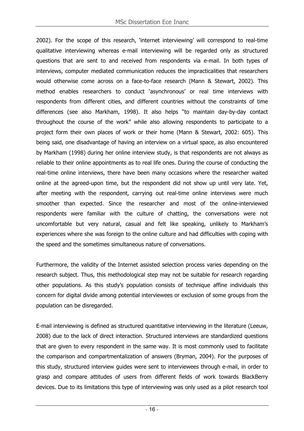2002). For the scope of this research, 'internet interviewing' will correspond to real-time qualitative interviewing whereas e-mail interviewing will be regarded only as structured questions that are sent to and received from respondents via e-mail. In both types of interviews, computer mediated communication reduces the impracticalities that researchers would otherwise come across on a face-to-face research (Mann & Stewart, 2002). This method enables researchers to conduct 'asynchronous' or real time interviews with respondents from different cities, and different countries without the constraints of time differences (see also Markham, 1998). It also helps "to maintain day-by-day contact throughout the course of the work" while also allowing respondents to participate to a project form their own places of work or their home (Mann & Stewart, 2002: 605). This being said, one disadvantage of having an interview on a virtual space, as also encountered by Markham (1998) during her online interview study, is that respondents are not always as reliable to their online appointments as to real life ones. During the course of conducting the real-time online interviews, there have been many occasions where the researcher waited online at the agreed-upon time, but the respondent did not show up until very late. Yet, after meeting with the respondent, carrying out real-time online interviews were much smoother than expected. Since the researcher and most of the online-interviewed respondents were familiar with the culture of chatting, the conversations were not uncomfortable but very natural, casual and felt like speaking, unlikely to Markham's experiences where she was foreign to the online culture and had difficulties with coping with the speed and the sometimes simultaneous nature of conversations.

Furthermore, the validity of the Internet assisted selection process varies depending on the research subject. Thus, this methodological step may not be suitable for research regarding other populations. As this study's population consists of technique affine individuals this concern for digital divide among potential interviewees or exclusion of some groups from the population can be disregarded.

E-mail interviewing is defined as structured quantitative interviewing in the literature (Leeuw, 2008) due to the lack of direct interaction. Structured interviews are standardized questions that are given to every respondent in the same way. It is most commonly used to facilitate the comparison and compartmentalization of answers (Bryman, 2004). For the purposes of this study, structured interview guides were sent to interviewees through e-mail, in order to grasp and compare attitudes of users from different fields of work towards BlackBerry devices. Due to its limitations this type of interviewing was only used as a pilot research tool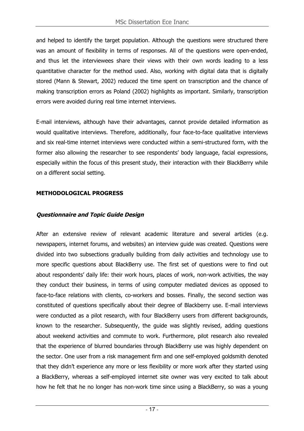and helped to identify the target population. Although the questions were structured there was an amount of flexibility in terms of responses. All of the questions were open-ended, and thus let the interviewees share their views with their own words leading to a less quantitative character for the method used. Also, working with digital data that is digitally stored (Mann & Stewart, 2002) reduced the time spent on transcription and the chance of making transcription errors as Poland (2002) highlights as important. Similarly, transcription errors were avoided during real time internet interviews.

E-mail interviews, although have their advantages, cannot provide detailed information as would qualitative interviews. Therefore, additionally, four face-to-face qualitative interviews and six real-time internet interviews were conducted within a semi-structured form, with the former also allowing the researcher to see respondents' body language, facial expressions, especially within the focus of this present study, their interaction with their BlackBerry while on a different social setting.

#### **METHODOLOGICAL PROGRESS**

#### **Questionnaire and Topic Guide Design**

After an extensive review of relevant academic literature and several articles (e.g. newspapers, internet forums, and websites) an interview guide was created. Questions were divided into two subsections gradually building from daily activities and technology use to more specific questions about BlackBerry use. The first set of questions were to find out about respondents' daily life: their work hours, places of work, non-work activities, the way they conduct their business, in terms of using computer mediated devices as opposed to face-to-face relations with clients, co-workers and bosses. Finally, the second section was constituted of questions specifically about their degree of Blackberry use. E-mail interviews were conducted as a pilot research, with four BlackBerry users from different backgrounds, known to the researcher. Subsequently, the guide was slightly revised, adding questions about weekend activities and commute to work. Furthermore, pilot research also revealed that the experience of blurred boundaries through BlackBerry use was highly dependent on the sector. One user from a risk management firm and one self-employed goldsmith denoted that they didn't experience any more or less flexibility or more work after they started using a BlackBerry, whereas a self-employed internet site owner was very excited to talk about how he felt that he no longer has non-work time since using a BlackBerry, so was a young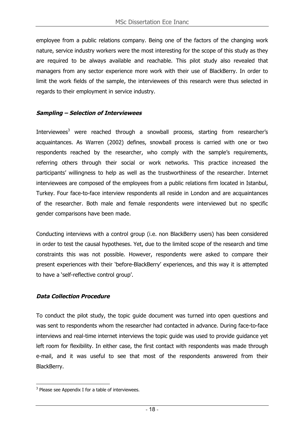employee from a public relations company. Being one of the factors of the changing work nature, service industry workers were the most interesting for the scope of this study as they are required to be always available and reachable. This pilot study also revealed that managers from any sector experience more work with their use of BlackBerry. In order to limit the work fields of the sample, the interviewees of this research were thus selected in regards to their employment in service industry.

#### **Sampling – Selection of Interviewees**

Interviewees<sup>3</sup> were reached through a snowball process, starting from researcher's acquaintances. As Warren (2002) defines, snowball process is carried with one or two respondents reached by the researcher, who comply with the sample's requirements, referring others through their social or work networks. This practice increased the participants' willingness to help as well as the trustworthiness of the researcher. Internet interviewees are composed of the employees from a public relations firm located in Istanbul, Turkey. Four face-to-face interview respondents all reside in London and are acquaintances of the researcher. Both male and female respondents were interviewed but no specific gender comparisons have been made.

Conducting interviews with a control group (i.e. non BlackBerry users) has been considered in order to test the causal hypotheses. Yet, due to the limited scope of the research and time constraints this was not possible. However, respondents were asked to compare their present experiences with their 'before-BlackBerry' experiences, and this way it is attempted to have a 'self-reflective control group'.

#### **Data Collection Procedure**

To conduct the pilot study, the topic guide document was turned into open questions and was sent to respondents whom the researcher had contacted in advance. During face-to-face interviews and real-time internet interviews the topic guide was used to provide guidance yet left room for flexibility. In either case, the first contact with respondents was made through e-mail, and it was useful to see that most of the respondents answered from their BlackBerry.

 $\overline{a}$  $3$  Please see Appendix I for a table of interviewees.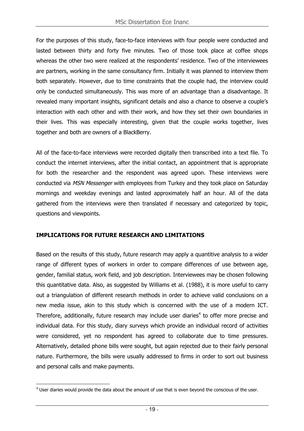For the purposes of this study, face-to-face interviews with four people were conducted and lasted between thirty and forty five minutes. Two of those took place at coffee shops whereas the other two were realized at the respondents' residence. Two of the interviewees are partners, working in the same consultancy firm. Initially it was planned to interview them both separately. However, due to time constraints that the couple had, the interview could only be conducted simultaneously. This was more of an advantage than a disadvantage. It revealed many important insights, significant details and also a chance to observe a couple's interaction with each other and with their work, and how they set their own boundaries in their lives. This was especially interesting, given that the couple works together, lives together and both are owners of a BlackBerry.

All of the face-to-face interviews were recorded digitally then transcribed into a text file. To conduct the internet interviews, after the initial contact, an appointment that is appropriate for both the researcher and the respondent was agreed upon. These interviews were conducted via MSN Messenger with employees from Turkey and they took place on Saturday mornings and weekday evenings and lasted approximately half an hour. All of the data gathered from the interviews were then translated if necessary and categorized by topic, questions and viewpoints.

#### **IMPLICATIONS FOR FUTURE RESEARCH AND LIMITATIONS**

Based on the results of this study, future research may apply a quantitive analysis to a wider range of different types of workers in order to compare differences of use between age, gender, familial status, work field, and job description. Interviewees may be chosen following this quantitative data. Also, as suggested by Williams et al. (1988), it is more useful to carry out a triangulation of different research methods in order to achieve valid conclusions on a new media issue, akin to this study which is concerned with the use of a modern ICT. Therefore, additionally, future research may include user diaries<sup>4</sup> to offer more precise and individual data. For this study, diary surveys which provide an individual record of activities were considered, yet no respondent has agreed to collaborate due to time pressures. Alternatively, detailed phone bills were sought, but again rejected due to their fairly personal nature. Furthermore, the bills were usually addressed to firms in order to sort out business and personal calls and make payments.

 $\overline{a}$  $4$  User diaries would provide the data about the amount of use that is even beyond the conscious of the user.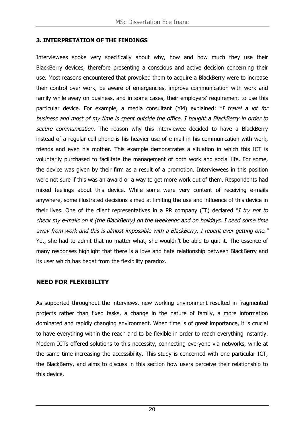#### **3. INTERPRETATION OF THE FINDINGS**

Interviewees spoke very specifically about why, how and how much they use their BlackBerry devices, therefore presenting a conscious and active decision concerning their use. Most reasons encountered that provoked them to acquire a BlackBerry were to increase their control over work, be aware of emergencies, improve communication with work and family while away on business, and in some cases, their employers' requirement to use this particular device. For example, a media consultant (YM) explained: "I travel a lot for business and most of my time is spent outside the office. I bought a BlackBerry in order to secure communication. The reason why this interviewee decided to have a BlackBerry instead of a regular cell phone is his heavier use of e-mail in his communication with work, friends and even his mother. This example demonstrates a situation in which this ICT is voluntarily purchased to facilitate the management of both work and social life. For some, the device was given by their firm as a result of a promotion. Interviewees in this position were not sure if this was an award or a way to get more work out of them. Respondents had mixed feelings about this device. While some were very content of receiving e-mails anywhere, some illustrated decisions aimed at limiting the use and influence of this device in their lives. One of the client representatives in a PR company (IT) declared " $I$  try not to check my e-mails on it (the BlackBerry) on the weekends and on holidays. I need some time away from work and this is almost impossible with a BlackBerry. I repent ever getting one." Yet, she had to admit that no matter what, she wouldn't be able to quit it. The essence of many responses highlight that there is a love and hate relationship between BlackBerry and its user which has begat from the flexibility paradox.

## **NEED FOR FLEXIBILITY**

As supported throughout the interviews, new working environment resulted in fragmented projects rather than fixed tasks, a change in the nature of family, a more information dominated and rapidly changing environment. When time is of great importance, it is crucial to have everything within the reach and to be flexible in order to reach everything instantly. Modern ICTs offered solutions to this necessity, connecting everyone via networks, while at the same time increasing the accessibility. This study is concerned with one particular ICT, the BlackBerry, and aims to discuss in this section how users perceive their relationship to this device.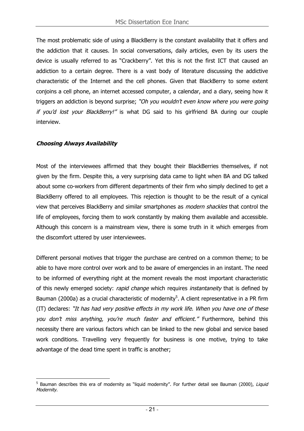The most problematic side of using a BlackBerry is the constant availability that it offers and the addiction that it causes. In social conversations, daily articles, even by its users the device is usually referred to as "Crackberry". Yet this is not the first ICT that caused an addiction to a certain degree. There is a vast body of literature discussing the addictive characteristic of the Internet and the cell phones. Given that BlackBerry to some extent conjoins a cell phone, an internet accessed computer, a calendar, and a diary, seeing how it triggers an addiction is beyond surprise; "Oh you wouldn't even know where you were going if you'd lost your BlackBerry!" is what DG said to his girlfriend BA during our couple interview.

#### **Choosing Always Availability**

Most of the interviewees affirmed that they bought their BlackBerries themselves, if not given by the firm. Despite this, a very surprising data came to light when BA and DG talked about some co-workers from different departments of their firm who simply declined to get a BlackBerry offered to all employees. This rejection is thought to be the result of a cynical view that perceives BlackBerry and similar smartphones as modern shackles that control the life of employees, forcing them to work constantly by making them available and accessible. Although this concern is a mainstream view, there is some truth in it which emerges from the discomfort uttered by user interviewees.

Different personal motives that trigger the purchase are centred on a common theme; to be able to have more control over work and to be aware of emergencies in an instant. The need to be informed of everything right at the moment reveals the most important characteristic of this newly emerged society: *rapid change* which requires *instantaneity* that is defined by Bauman (2000a) as a crucial characteristic of modernity<sup>5</sup>. A client representative in a PR firm (IT) declares: "It has had very positive effects in my work life. When you have one of these you don't miss anything, you're much faster and efficient." Furthermore, behind this necessity there are various factors which can be linked to the new global and service based work conditions. Travelling very frequently for business is one motive, trying to take advantage of the dead time spent in traffic is another;

 $\overline{a}$ <sup>5</sup> Bauman describes this era of modernity as "liquid modernity". For further detail see Bauman (2000), Liquid Modernity.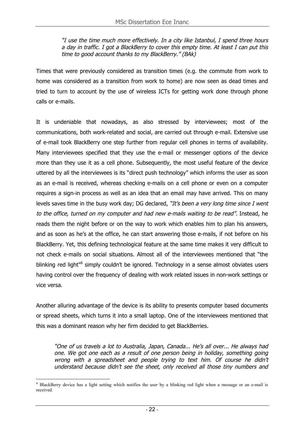"I use the time much more effectively. In a city like Istanbul, I spend three hours a day in traffic. I got a BlackBerry to cover this empty time. At least I can put this time to good account thanks to my BlackBerry." (BAk)

Times that were previously considered as transition times (e.g. the commute from work to home was considered as a transition from work to home) are now seen as dead times and tried to turn to account by the use of wireless ICTs for getting work done through phone calls or e-mails.

It is undeniable that nowadays, as also stressed by interviewees; most of the communications, both work-related and social, are carried out through e-mail. Extensive use of e-mail took BlackBerry one step further from regular cell phones in terms of availability. Many interviewees specified that they use the e-mail or messenger options of the device more than they use it as a cell phone. Subsequently, the most useful feature of the device uttered by all the interviewees is its "direct push technology" which informs the user as soon as an e-mail is received, whereas checking e-mails on a cell phone or even on a computer requires a sign-in process as well as an idea that an email may have arrived. This on many levels saves time in the busy work day; DG declared, "It's been a very long time since I went to the office, turned on my computer and had new e-mails waiting to be read". Instead, he reads them the night before or on the way to work which enables him to plan his answers, and as soon as he's at the office, he can start answering those e-mails, if not before on his BlackBerry. Yet, this defining technological feature at the same time makes it very difficult to not check e-mails on social situations. Almost all of the interviewees mentioned that "the blinking red light"<sup>6</sup> simply couldn't be ignored. Technology in a sense almost obviates users having control over the frequency of dealing with work related issues in non-work settings or vice versa.

Another alluring advantage of the device is its ability to presents computer based documents or spread sheets, which turns it into a small laptop. One of the interviewees mentioned that this was a dominant reason why her firm decided to get BlackBerries.

"One of us travels a lot to Australia, Japan, Canada... He's all over... He always had one. We got one each as a result of one person being in holiday, something going wrong with a spreadsheet and people trying to text him. Of course he didn't understand because didn't see the sheet, only received all those tiny numbers and

6  $6$  BlackBerry device has a light setting which notifies the user by a blinking red light when a message or an e-mail is received.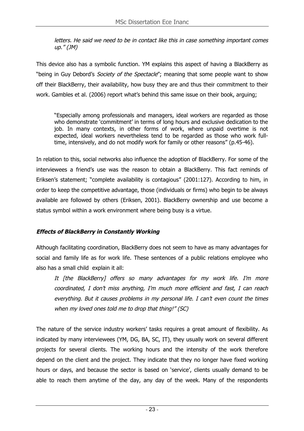letters. He said we need to be in contact like this in case something important comes up." (JM)

This device also has a symbolic function. YM explains this aspect of having a BlackBerry as "being in Guy Debord's Society of the Spectacle"; meaning that some people want to show off their BlackBerry, their availability, how busy they are and thus their commitment to their work. Gambles et al. (2006) report what's behind this same issue on their book, arguing;

"Especially among professionals and managers, ideal workers are regarded as those who demonstrate 'commitment' in terms of long hours and exclusive dedication to the job. In many contexts, in other forms of work, where unpaid overtime is not expected, ideal workers nevertheless tend to be regarded as those who work fulltime, intensively, and do not modify work for family or other reasons" (p.45-46).

In relation to this, social networks also influence the adoption of BlackBerry. For some of the interviewees a friend's use was the reason to obtain a BlackBerry. This fact reminds of Eriksen's statement; "complete availability is contagious" (2001:127). According to him, in order to keep the competitive advantage, those (individuals or firms) who begin to be always available are followed by others (Eriksen, 2001). BlackBerry ownership and use become a status symbol within a work environment where being busy is a virtue.

## **Effects of BlackBerry in Constantly Working**

Although facilitating coordination, BlackBerry does not seem to have as many advantages for social and family life as for work life. These sentences of a public relations employee who also has a small child explain it all:

It [the BlackBerry] offers so many advantages for my work life. I'm more coordinated, I don't miss anything, I'm much more efficient and fast, I can reach everything. But it causes problems in my personal life. I can't even count the times when my loved ones told me to drop that thing!" (SC)

The nature of the service industry workers' tasks requires a great amount of flexibility. As indicated by many interviewees (YM, DG, BA, SC, IT), they usually work on several different projects for several clients. The working hours and the intensity of the work therefore depend on the client and the project. They indicate that they no longer have fixed working hours or days, and because the sector is based on 'service', clients usually demand to be able to reach them anytime of the day, any day of the week. Many of the respondents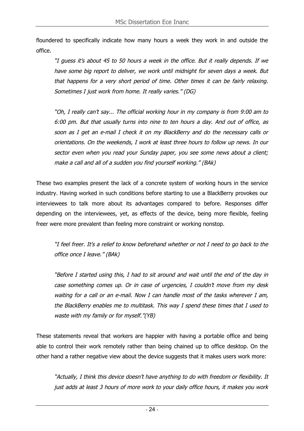floundered to specifically indicate how many hours a week they work in and outside the office.

"I guess it's about 45 to 50 hours a week in the office. But it really depends. If we have some big report to deliver, we work until midnight for seven days a week. But that happens for a very short period of time. Other times it can be fairly relaxing. Sometimes I just work from home. It really varies." (DG)

"Oh, I really can't say... The official working hour in my company is from 9:00 am to 6:00 pm. But that usually turns into nine to ten hours a day. And out of office, as soon as I get an e-mail I check it on my BlackBerry and do the necessary calls or orientations. On the weekends, I work at least three hours to follow up news. In our sector even when you read your Sunday paper, you see some news about a client; make a call and all of a sudden you find yourself working." (BAk)

These two examples present the lack of a concrete system of working hours in the service industry. Having worked in such conditions before starting to use a BlackBerry provokes our interviewees to talk more about its advantages compared to before. Responses differ depending on the interviewees, yet, as effects of the device, being more flexible, feeling freer were more prevalent than feeling more constraint or working nonstop.

"I feel freer. It's a relief to know beforehand whether or not I need to go back to the office once I leave." (BAk)

"Before I started using this, I had to sit around and wait until the end of the day in case something comes up. Or in case of urgencies, I couldn't move from my desk waiting for a call or an e-mail. Now I can handle most of the tasks wherever I am, the BlackBerry enables me to multitask. This way I spend these times that I used to waste with my family or for myself."(YB)

These statements reveal that workers are happier with having a portable office and being able to control their work remotely rather than being chained up to office desktop. On the other hand a rather negative view about the device suggests that it makes users work more:

"Actually, I think this device doesn't have anything to do with freedom or flexibility. It just adds at least 3 hours of more work to your daily office hours, it makes you work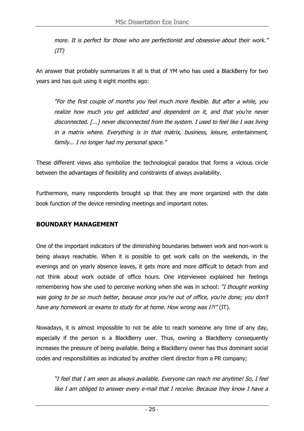more. It is perfect for those who are perfectionist and obsessive about their work."  $(TT)$ 

An answer that probably summarizes it all is that of YM who has used a BlackBerry for two years and has quit using it eight months ago:

"For the first couple of months you feel much more flexible. But after a while, you realize how much you get addicted and dependent on it, and that you're never disconnected. [...] never disconnected from the system. I used to feel like I was living in a matrix where. Everything is in that matrix, business, leisure, entertainment, family... I no longer had my personal space."

These different views also symbolize the technological paradox that forms a vicious circle between the advantages of flexibility and constraints of always availability.

Furthermore, many respondents brought up that they are more organized with the date book function of the device reminding meetings and important notes.

## **BOUNDARY MANAGEMENT**

One of the important indicators of the diminishing boundaries between work and non-work is being always reachable. When it is possible to get work calls on the weekends, in the evenings and on yearly absence leaves, it gets more and more difficult to detach from and not think about work outside of office hours. One interviewee explained her feelings remembering how she used to perceive working when she was in school: "I thought working was going to be so much better, because once you're out of office, you're done; you don't have any homework or exams to study for at home. How wrong was I?!" (IT).

Nowadays, it is almost impossible to not be able to reach someone any time of any day, especially if the person is a BlackBerry user. Thus, owning a BlackBerry consequently increases the pressure of being available. Being a BlackBerry owner has thus dominant social codes and responsibilities as indicated by another client director from a PR company;

"I feel that I am seen as always available. Everyone can reach me anytime! So, I feel like I am obliged to answer every e-mail that I receive. Because they know I have a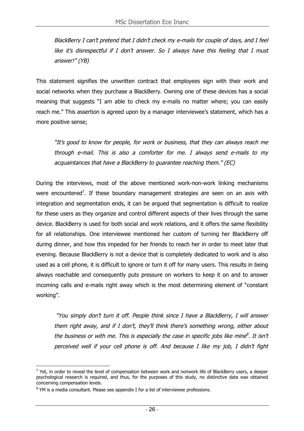BlackBerry I can't pretend that I didn't check my e-mails for couple of days, and I feel like it's disrespectful if I don't answer. So I always have this feeling that I must answer!" (YB)

This statement signifies the unwritten contract that employees sign with their work and social networks when they purchase a BlackBerry. Owning one of these devices has a social meaning that suggests "I am able to check my e-mails no matter where; you can easily reach me." This assertion is agreed upon by a manager interviewee's statement, which has a more positive sense;

"It's good to know for people, for work or business, that they can always reach me through e-mail. This is also a comforter for me. I always send e-mails to my acquaintances that have a BlackBerry to guarantee reaching them." (EC)

During the interviews, most of the above mentioned work-non-work linking mechanisms were encountered<sup>7</sup>. If these boundary management strategies are seen on an axis with integration and segmentation ends, it can be argued that segmentation is difficult to realize for these users as they organize and control different aspects of their lives through the same device. BlackBerry is used for both social and work relations, and it offers the same flexibility for all relationships. One interviewee mentioned her custom of turning her BlackBerry off during dinner, and how this impeded for her friends to reach her in order to meet later that evening. Because BlackBerry is not a device that is completely dedicated to work and is also used as a cell phone, it is difficult to ignore or turn it off for many users. This results in being always reachable and consequently puts pressure on workers to keep it on and to answer incoming calls and e-mails right away which is the most determining element of "constant working".

 "You simply don't turn it off. People think since I have a BlackBerry, I will answer them right away, and if I don't, they'll think there's something wrong, either about the business or with me. This is especially the case in specific jobs like mine<sup>8</sup>. It isn't perceived well if your cell phone is off. And because I like my job, I didn't fight

 $\overline{a}$  $7$  Yet, in order to reveal the level of compensation between work and nonwork life of BlackBerry users, a deeper psychological research is required, and thus, for the purposes of this study, no distinctive data was obtained concerning compensation levels.

<sup>&</sup>lt;sup>8</sup> YM is a media consultant. Please see appendix I for a list of interviewee professions.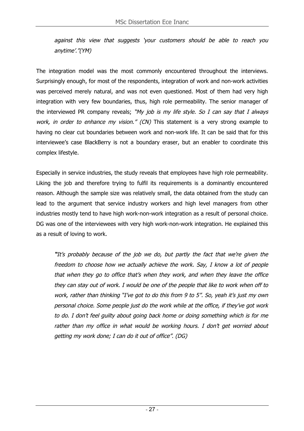against this view that suggests 'your customers should be able to reach you anytime'."(YM)

The integration model was the most commonly encountered throughout the interviews. Surprisingly enough, for most of the respondents, integration of work and non-work activities was perceived merely natural, and was not even questioned. Most of them had very high integration with very few boundaries, thus, high role permeability. The senior manager of the interviewed PR company reveals; "My job is my life style. So I can say that I always work, in order to enhance my vision." (CN) This statement is a very strong example to having no clear cut boundaries between work and non-work life. It can be said that for this interviewee's case BlackBerry is not a boundary eraser, but an enabler to coordinate this complex lifestyle.

Especially in service industries, the study reveals that employees have high role permeability. Liking the job and therefore trying to fulfil its requirements is a dominantly encountered reason. Although the sample size was relatively small, the data obtained from the study can lead to the argument that service industry workers and high level managers from other industries mostly tend to have high work-non-work integration as a result of personal choice. DG was one of the interviewees with very high work-non-work integration. He explained this as a result of loving to work.

**"**It's probably because of the job we do, but partly the fact that we're given the freedom to choose how we actually achieve the work. Say, I know a lot of people that when they go to office that's when they work, and when they leave the office they can stay out of work. I would be one of the people that like to work when off to work, rather than thinking "I've got to do this from 9 to 5". So, yeah it's just my own personal choice. Some people just do the work while at the office, if they've got work to do. I don't feel guilty about going back home or doing something which is for me rather than my office in what would be working hours. I don't get worried about getting my work done; I can do it out of office". (DG)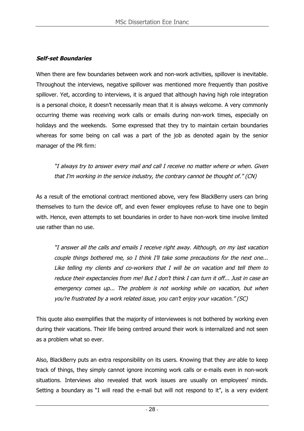#### **Self-set Boundaries**

When there are few boundaries between work and non-work activities, spillover is inevitable. Throughout the interviews, negative spillover was mentioned more frequently than positive spillover. Yet, according to interviews, it is argued that although having high role integration is a personal choice, it doesn't necessarily mean that it is always welcome. A very commonly occurring theme was receiving work calls or emails during non-work times, especially on holidays and the weekends. Some expressed that they try to maintain certain boundaries whereas for some being on call was a part of the job as denoted again by the senior manager of the PR firm:

"I always try to answer every mail and call I receive no matter where or when. Given that I'm working in the service industry, the contrary cannot be thought of." (CN)

As a result of the emotional contract mentioned above, very few BlackBerry users can bring themselves to turn the device off, and even fewer employees refuse to have one to begin with. Hence, even attempts to set boundaries in order to have non-work time involve limited use rather than no use.

"I answer all the calls and emails I receive right away. Although, on my last vacation couple things bothered me, so I think I'll take some precautions for the next one... Like telling my clients and co-workers that I will be on vacation and tell them to reduce their expectancies from me! But I don't think I can turn it off... Just in case an emergency comes up... The problem is not working while on vacation, but when you're frustrated by a work related issue, you can't enjoy your vacation." (SC)

This quote also exemplifies that the majority of interviewees is not bothered by working even during their vacations. Their life being centred around their work is internalized and not seen as a problem what so ever.

Also, BlackBerry puts an extra responsibility on its users. Knowing that they are able to keep track of things, they simply cannot ignore incoming work calls or e-mails even in non-work situations. Interviews also revealed that work issues are usually on employees' minds. Setting a boundary as "I will read the e-mail but will not respond to it", is a very evident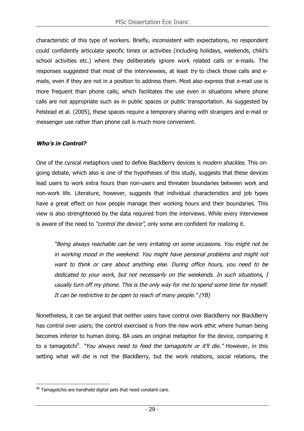characteristic of this type of workers. Briefly, inconsistent with expectations, no respondent could confidently articulate specific times or activities (including holidays, weekends, child's school activities etc.) where they deliberately ignore work related calls or e-mails. The responses suggested that most of the interviewees, at least  $try$  to check those calls and emails, even if they are not in a position to address them. Most also express that e-mail use is more frequent than phone calls, which facilitates the use even in situations where phone calls are not appropriate such as in public spaces or public transportation. As suggested by Felstead et al. (2005), these spaces require a temporary sharing with strangers and e-mail or messenger use rather than phone call is much more convenient.

#### **Who's in Control?**

One of the cynical metaphors used to define BlackBerry devices is modern shackles. This ongoing debate, which also is one of the hypotheses of this study, suggests that these devices lead users to work extra hours than non-users and threaten boundaries between work and non-work life. Literature, however, suggests that individual characteristics and job types have a great effect on how people manage their working hours and their boundaries. This view is also strenghtened by the data required from the interviews. While every interviewee is aware of the need to "*control the device"*, only some are confident for realizing it.

"Being always reachable can be very irritating on some occasions. You might not be in working mood in the weekend. You might have personal problems and might not want to think or care about anything else. During office hours, you need to be dedicated to your work, but not necessarily on the weekends. In such situations, I usually turn off my phone. This is the only way for me to spend some time for myself. It can be restrictive to be open to reach of many people." (YB)

Nonetheless, it can be argued that neither users have control over BlackBerry nor BlackBerry has control over users; the control exercised is from the new work ethic where human being becomes inferior to human doing. BA uses an original metaphor for the device, comparing it to a tamagotchi<sup>9</sup>. "You always need to feed the tamagotchi or it'll die." However, in this setting what will die is not the BlackBerry, but the work relations, social relations, the

 $\overline{a}$  $99$  Tamagotchis are handheld digital pets that need constant care.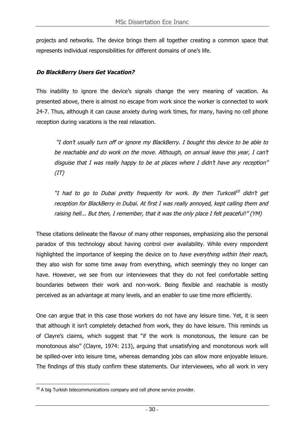projects and networks. The device brings them all together creating a common space that represents individual responsibilities for different domains of one's life.

### **Do BlackBerry Users Get Vacation?**

This inability to ignore the device's signals change the very meaning of vacation. As presented above, there is almost no escape from work since the worker is connected to work 24-7. Thus, although it can cause anxiety during work times, for many, having no cell phone reception during vacations is the real relaxation.

 "I don't usually turn off or ignore my BlackBerry. I bought this device to be able to be reachable and do work on the move. Although, on annual leave this year, I can't disguise that I was really happy to be at places where I didn't have any reception"  $(IT)$ 

"I had to go to Dubai pretty frequently for work. By then Turkcell<sup>10</sup> didn't get reception for BlackBerry in Dubai. At first I was really annoyed, kept calling them and raising hell... But then, I remember, that it was the only place I felt peaceful!" (YM)

These citations delineate the flavour of many other responses, emphasizing also the personal paradox of this technology about having control over availability. While every respondent highlighted the importance of keeping the device on to have everything within their reach, they also wish for some time away from everything, which seemingly they no longer can have. However, we see from our interviewees that they do not feel comfortable setting boundaries between their work and non-work. Being flexible and reachable is mostly perceived as an advantage at many levels, and an enabler to use time more efficiently.

One can argue that in this case those workers do not have any leisure time. Yet, it is seen that although it isn't completely detached from work, they do have leisure. This reminds us of Clayre's claims, which suggest that "if the work is monotonous, the leisure can be monotonous also" (Clayre, 1974: 213), arguing that unsatisfying and monotonous work will be spilled-over into leisure time, whereas demanding jobs can allow more enjoyable leisure. The findings of this study confirm these statements. Our interviewees, who all work in very

 $\overline{a}$  $10$  A big Turkish telecommunications company and cell phone service provider.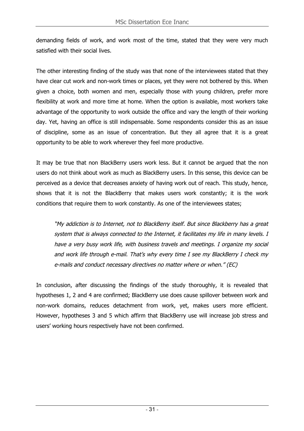demanding fields of work, and work most of the time, stated that they were very much satisfied with their social lives.

The other interesting finding of the study was that none of the interviewees stated that they have clear cut work and non-work times or places, yet they were not bothered by this. When given a choice, both women and men, especially those with young children, prefer more flexibility at work and more time at home. When the option is available, most workers take advantage of the opportunity to work outside the office and vary the length of their working day. Yet, having an office is still indispensable. Some respondents consider this as an issue of discipline, some as an issue of concentration. But they all agree that it is a great opportunity to be able to work wherever they feel more productive.

It may be true that non BlackBerry users work less. But it cannot be argued that the non users do not think about work as much as BlackBerry users. In this sense, this device can be perceived as a device that decreases anxiety of having work out of reach. This study, hence, shows that it is not the BlackBerry that makes users work constantly; it is the work conditions that require them to work constantly. As one of the interviewees states;

"My addiction is to Internet, not to BlackBerry itself. But since Blackberry has a great system that is always connected to the Internet, it facilitates my life in many levels. I have a very busy work life, with business travels and meetings. I organize my social and work life through e-mail. That's why every time I see my BlackBerry I check my e-mails and conduct necessary directives no matter where or when." (EC)

In conclusion, after discussing the findings of the study thoroughly, it is revealed that hypotheses 1, 2 and 4 are confirmed; BlackBerry use does cause spillover between work and non-work domains, reduces detachment from work, yet, makes users more efficient. However, hypotheses 3 and 5 which affirm that BlackBerry use will increase job stress and users' working hours respectively have not been confirmed.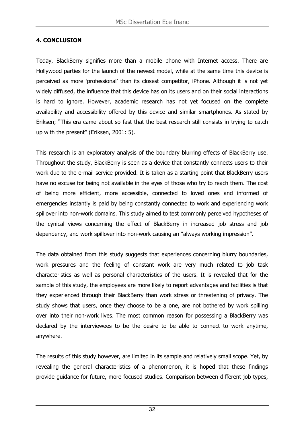#### **4. CONCLUSION**

Today, BlackBerry signifies more than a mobile phone with Internet access. There are Hollywood parties for the launch of the newest model, while at the same time this device is perceived as more 'professional' than its closest competitor, iPhone. Although it is not yet widely diffused, the influence that this device has on its users and on their social interactions is hard to ignore. However, academic research has not yet focused on the complete availability and accessibility offered by this device and similar smartphones. As stated by Eriksen; "This era came about so fast that the best research still consists in trying to catch up with the present" (Eriksen, 2001: 5).

This research is an exploratory analysis of the boundary blurring effects of BlackBerry use. Throughout the study, BlackBerry is seen as a device that constantly connects users to their work due to the e-mail service provided. It is taken as a starting point that BlackBerry users have no excuse for being not available in the eyes of those who try to reach them. The cost of being more efficient, more accessible, connected to loved ones and informed of emergencies instantly is paid by being constantly connected to work and experiencing work spillover into non-work domains. This study aimed to test commonly perceived hypotheses of the cynical views concerning the effect of BlackBerry in increased job stress and job dependency, and work spillover into non-work causing an "always working impression".

The data obtained from this study suggests that experiences concerning blurry boundaries, work pressures and the feeling of constant work are very much related to job task characteristics as well as personal characteristics of the users. It is revealed that for the sample of this study, the employees are more likely to report advantages and facilities is that they experienced through their BlackBerry than work stress or threatening of privacy. The study shows that users, once they choose to be a one, are not bothered by work spilling over into their non-work lives. The most common reason for possessing a BlackBerry was declared by the interviewees to be the desire to be able to connect to work anytime, anywhere.

The results of this study however, are limited in its sample and relatively small scope. Yet, by revealing the general characteristics of a phenomenon, it is hoped that these findings provide guidance for future, more focused studies. Comparison between different job types,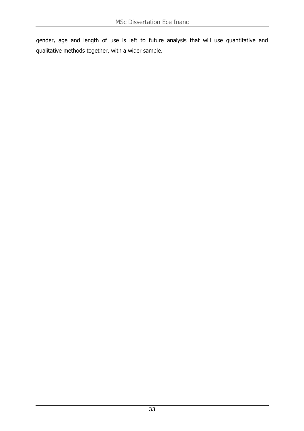gender, age and length of use is left to future analysis that will use quantitative and qualitative methods together, with a wider sample.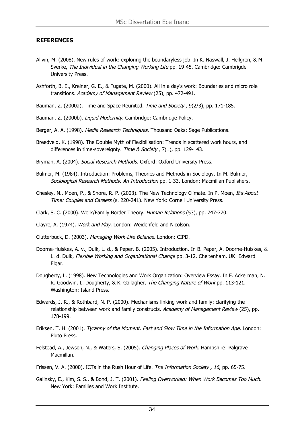#### **REFERENCES**

- Allvin, M. (2008). New rules of work: exploring the boundaryless job. In K. Naswall, J. Hellgren, & M. Sverke, The Individual in the Changing Working Life pp. 19-45. Cambridge: Cambrigde University Press.
- Ashforth, B. E., Kreiner, G. E., & Fugate, M. (2000). All in a day's work: Boundaries and micro role transitions. Academy of Management Review (25), pp. 472-491.
- Bauman, Z. (2000a). Time and Space Reunited. Time and Society, 9(2/3), pp. 171-185.
- Bauman, Z. (2000b). Liquid Modernity. Cambridge: Cambridge Policy.
- Berger, A. A. (1998). Media Research Techniques. Thousand Oaks: Sage Publications.
- Breedveld, K. (1998). The Double Myth of Flexibilisation: Trends in scattered work hours, and differences in time-sovereignty. Time & Society, 7(1), pp. 129-143.
- Bryman, A. (2004). Social Research Methods. Oxford: Oxford University Press.
- Bulmer, M. (1984). Introduction: Problems, Theories and Methods in Sociology. In M. Bulmer, Sociological Research Methods: An Introduction pp. 1-33. London: Macmillan Publishers.
- Chesley, N., Moen, P., & Shore, R. P. (2003). The New Technology Climate. In P. Moen, It's About Time: Couples and Careers (s. 220-241). New York: Cornell University Press.
- Clark, S. C. (2000). Work/Family Border Theory. Human Relations (53), pp. 747-770.
- Clayre, A. (1974). Work and Play. London: Weidenfeld and Nicolson.
- Clutterbuck, D. (2003). Managing Work-Life Balance. London: CIPD.
- Doorne-Huiskes, A. v., Dulk, L. d., & Peper, B. (2005). Introduction. In B. Peper, A. Doorne-Huiskes, & L. d. Dulk, Flexible Working and Organisational Change pp. 3-12. Cheltenham, UK: Edward Elgar.
- Dougherty, L. (1998). New Technologies and Work Organization: Overview Essay. In F. Ackerman, N. R. Goodwin, L. Dougherty, & K. Gallagher, The Changing Nature of Work pp. 113-121. Washington: Island Press.
- Edwards, J. R., & Rothbard, N. P. (2000). Mechanisms linking work and family: clarifying the relationship between work and family constructs. Academy of Management Review (25), pp. 178-199.
- Eriksen, T. H. (2001). Tyranny of the Moment, Fast and Slow Time in the Information Age. London: Pluto Press.
- Felstead, A., Jewson, N., & Waters, S. (2005). Changing Places of Work. Hampshire: Palgrave Macmillan.
- Frissen, V. A. (2000). ICTs in the Rush Hour of Life. The Information Society, 16, pp. 65-75.
- Galinsky, E., Kim, S. S., & Bond, J. T. (2001). Feeling Overworked: When Work Becomes Too Much. New York: Families and Work Institute.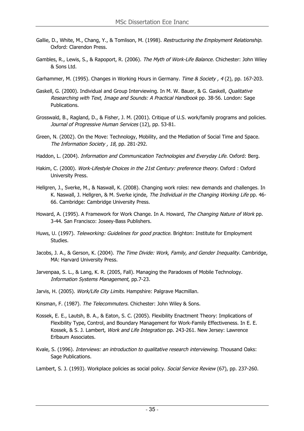- Gallie, D., White, M., Chang, Y., & Tomlison, M. (1998). Restructuring the Employment Relationship. Oxford: Clarendon Press.
- Gambles, R., Lewis, S., & Rapoport, R. (2006). The Myth of Work-Life Balance. Chichester: John Wiley & Sons Ltd.
- Garhammer, M. (1995). Changes in Working Hours in Germany. Time & Society, 4(2), pp. 167-203.
- Gaskell, G. (2000). Individual and Group Interviewing. In M. W. Bauer, & G. Gaskell, Qualitative Researching with Text, Image and Sounds: A Practical Handbook pp. 38-56. London: Sage Publications.
- Grosswald, B., Ragland, D., & Fisher, J. M. (2001). Critique of U.S. work/family programs and policies. Journal of Progressive Human Services (12), pp. 53-81.
- Green, N. (2002). On the Move: Technology, Mobility, and the Mediation of Social Time and Space. The Information Society , 18, pp. 281-292.
- Haddon, L. (2004). Information and Communication Technologies and Everyday Life. Oxford: Berg.
- Hakim, C. (2000). Work-Lifestyle Choices in the 21st Century: preference theory. Oxford : Oxford University Press.
- Hellgren, J., Sverke, M., & Naswall, K. (2008). Changing work roles: new demands and challenges. In K. Naswall, J. Hellgren, & M. Sverke içinde, The Individual in the Changing Working Life pp. 46-66. Cambridge: Cambridge University Press.
- Howard, A. (1995). A Framework for Work Change. In A. Howard, The Changing Nature of Work pp. 3-44. San Francisco: Joseey-Bass Publishers.
- Huws, U. (1997). Teleworking: Guidelines for good practice. Brighton: Institute for Employment Studies.
- Jacobs, J. A., & Gerson, K. (2004). The Time Divide: Work, Family, and Gender Inequality. Cambridge, MA: Harvard University Press.
- Jarvenpaa, S. L., & Lang, K. R. (2005, Fall). Managing the Paradoxes of Mobile Technology. Information Systems Management, pp.7-23.
- Jarvis, H. (2005). Work/Life City Limits. Hampshire: Palgrave Macmillan.
- Kinsman, F. (1987). The Telecommuters. Chichester: John Wiley & Sons.
- Kossek, E. E., Lautsh, B. A., & Eaton, S. C. (2005). Flexibility Enactment Theory: Implications of Flexibility Type, Control, and Boundary Management for Work-Family Effectiveness. In E. E. Kossek, & S. J. Lambert, Work and Life Integration pp. 243-261. New Jersey: Lawrence Erlbaum Associates.
- Kvale, S. (1996). Interviews: an introduction to qualitative research interviewing. Thousand Oaks: Sage Publications.
- Lambert, S. J. (1993). Workplace policies as social policy. Social Service Review (67), pp. 237-260.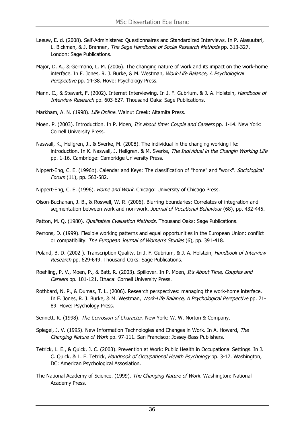- Leeuw, E. d. (2008). Self-Administered Questionnaires and Standardized Interviews. In P. Alasuutari, L. Bickman, & J. Brannen, The Sage Handbook of Social Research Methods pp. 313-327. London: Sage Publications.
- Major, D. A., & Germano, L. M. (2006). The changing nature of work and its impact on the work-home interface. In F. Jones, R. J. Burke, & M. Westman, Work-Life Balance, A Psychological Perspective pp. 14-38. Hove: Psychology Press.
- Mann, C., & Stewart, F. (2002). Internet Interviewing. In J. F. Gubrium, & J. A. Holstein, Handbook of Interview Research pp. 603-627. Thousand Oaks: Sage Publications.
- Markham, A. N. (1998). Life Online. Walnut Creek: Altamita Press.
- Moen, P. (2003). Introduction. In P. Moen, It's about time: Couple and Careers pp. 1-14. New York: Cornell University Press.
- Naswall, K., Hellgren, J., & Sverke, M. (2008). The individual in the changing working life: introduction. In K. Naswall, J. Hellgren, & M. Sverke, The Individual in the Changin Working Life pp. 1-16. Cambridge: Cambridge University Press.
- Nippert-Eng, C. E. (1996b). Calendar and Keys: The classification of "home" and "work". Sociological Forum (11), pp. 563-582.

Nippert-Eng, C. E. (1996). Home and Work. Chicago: University of Chicago Press.

- Olson-Buchanan, J. B., & Roswell, W. R. (2006). Blurring boundaries: Correlates of integration and segmentation between work and non-work. Journal of Vocational Behaviour (68), pp. 432-445.
- Patton, M. Q. (1980). Qualitative Evaluation Methods. Thousand Oaks: Sage Publications.
- Perrons, D. (1999). Flexible working patterns and equal opportunities in the European Union: conflict or compatibility. The European Journal of Women's Studies (6), pp. 391-418.
- Poland, B. D. (2002 ). Transcription Quality. In J. F. Gubrium, & J. A. Holstein, Handbook of Interview Research pp. 629-649. Thousand Oaks: Sage Publications.
- Roehling, P. V., Moen, P., & Batt, R. (2003). Spillover. In P. Moen, It's About Time, Couples and Careers pp. 101-121. Ithaca: Cornell University Press.
- Rothbard, N. P., & Dumas, T. L. (2006). Research perspectives: managing the work-home interface. In F. Jones, R. J. Burke, & M. Westman, Work-Life Balance, A Psychological Perspective pp. 71-89. Hove: Psychology Press.
- Sennett, R. (1998). The Corrosion of Character. New York: W. W. Norton & Company.
- Spiegel, J. V. (1995). New Information Technologies and Changes in Work. In A. Howard, The Changing Nature of Work pp. 97-111. San Francisco: Jossey-Bass Publishers.
- Tetrick, L. E., & Quick, J. C. (2003). Prevention at Work: Public Health in Occupational Settings. In J. C. Quick, & L. E. Tetrick, Handbook of Occupational Health Psychology pp. 3-17. Washington, DC: American Psychological Assosiation.
- The National Academy of Science. (1999). The Changing Nature of Work. Washington: National Academy Press.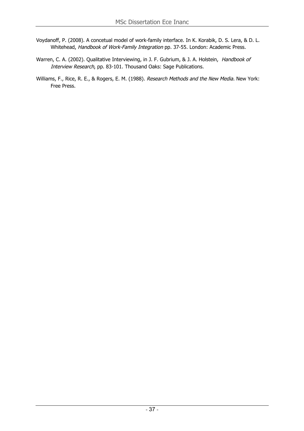- Voydanoff, P. (2008). A concetual model of work-family interface. In K. Korabik, D. S. Lera, & D. L. Whitehead, Handbook of Work-Family Integration pp. 37-55. London: Academic Press.
- Warren, C. A. (2002). Qualitative Interviewing, in J. F. Gubrium, & J. A. Holstein, Handbook of Interview Research, pp. 83-101. Thousand Oaks: Sage Publications.
- Williams, F., Rice, R. E., & Rogers, E. M. (1988). Research Methods and the New Media. New York: Free Press.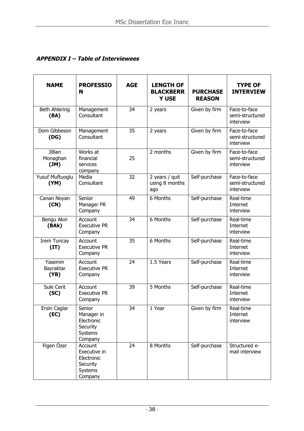## **APPENDIX I – Table of Interviewees**

| <b>NAME</b>                  | <b>PROFESSIO</b><br>N                                                   | <b>AGE</b> | <b>LENGTH OF</b><br><b>BLACKBERR</b><br><b>Y USE</b> | <b>PURCHASE</b><br><b>REASON</b> | <b>TYPE OF</b><br><b>INTERVIEW</b>           |
|------------------------------|-------------------------------------------------------------------------|------------|------------------------------------------------------|----------------------------------|----------------------------------------------|
| <b>Beth Ahlering</b><br>(BA) | Management<br>Consultant                                                | 34         | 2 years                                              | Given by firm                    | Face-to-face<br>semi-structured<br>interview |
| Dom Gibbeson<br>(DG)         | Management<br>Consultant                                                | 35         | 2 years                                              | Given by firm                    | Face-to-face<br>semi-structured<br>interview |
| Jillian<br>Monaghan<br>(M)   | Works at<br>financial<br>services<br>company                            | 25         | 2 months                                             | Given by firm                    | Face-to-face<br>semi-structured<br>interview |
| Yusuf Muftuoglu<br>(YM)      | Media<br>Consultant                                                     | 32         | 2 years / quit<br>using 8 months<br>ago              | Self-purchase                    | Face-to-face<br>semi-structured<br>interview |
| Canan Noyan<br>(CN)          | Senior<br>Manager PR<br>Company                                         | 49         | 6 Months                                             | Self-purchase                    | Real-time<br>Internet<br>interview           |
| Bengu Akın<br>(BAk)          | Account<br><b>Executive PR</b><br>Company                               | 34         | 6 Months                                             | Self-purchase                    | Real-time<br>Internet<br>interview           |
| Irem Tuncay<br>(IT)          | Account<br><b>Executive PR</b><br>Company                               | 35         | 6 Months                                             | Self-purchase                    | Real-time<br>Internet<br>interview           |
| Yasemin<br>Bayraktar<br>(YB) | Account<br><b>Executive PR</b><br>Company                               | 24         | 1.5 Years                                            | Self-purchase                    | Real-time<br>Internet<br>interview           |
| Sule Cerit<br>(SC)           | Account<br><b>Executive PR</b><br>Company                               | 39         | 5 Months                                             | Self-purchase                    | Real-time<br>Internet<br>interview           |
| Ersin Caglar<br>(EC)         | Senior<br>Manager in<br>Electronic<br>Security<br>Systems<br>Company    | 34         | 1 Year                                               | Given by firm                    | Real-time<br>Internet<br>interview           |
| Figen Özer                   | Account<br>Executive in<br>Electronic<br>Security<br>Systems<br>Company | 24         | 8 Months                                             | Self-purchase                    | Structured e-<br>mail interview              |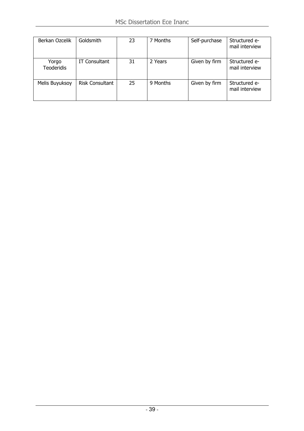| Berkan Ozcelik             | Goldsmith              | 23 | 7 Months | Self-purchase | Structured e-<br>mail interview |
|----------------------------|------------------------|----|----------|---------------|---------------------------------|
| Yorgo<br><b>Teoderidis</b> | <b>IT Consultant</b>   | 31 | 2 Years  | Given by firm | Structured e-<br>mail interview |
| Melis Buyuksoy             | <b>Risk Consultant</b> | 25 | 9 Months | Given by firm | Structured e-<br>mail interview |